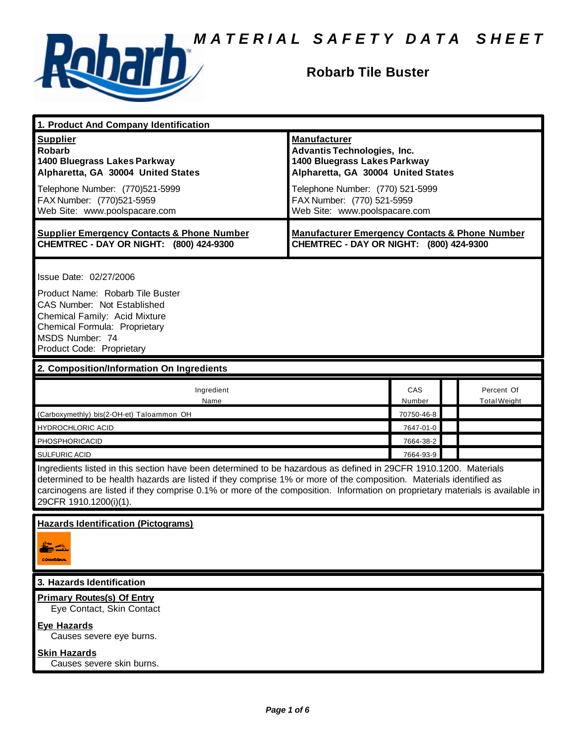

# **Robarb Tile Buster**

| 1. Product And Company Identification                                                                                                                                                                                                                                                                                                                                                             |                                                                                                                                                                                                                                    |                      |                                   |  |
|---------------------------------------------------------------------------------------------------------------------------------------------------------------------------------------------------------------------------------------------------------------------------------------------------------------------------------------------------------------------------------------------------|------------------------------------------------------------------------------------------------------------------------------------------------------------------------------------------------------------------------------------|----------------------|-----------------------------------|--|
| <b>Supplier</b><br><b>Robarb</b><br>1400 Bluegrass Lakes Parkway<br>Alpharetta, GA 30004 United States<br>Telephone Number: (770)521-5999<br>FAX Number: (770)521-5959<br>Web Site: www.poolspacare.com                                                                                                                                                                                           | <b>Manufacturer</b><br><b>Advantis Technologies, Inc.</b><br>1400 Bluegrass Lakes Parkway<br>Alpharetta, GA 30004 United States<br>Telephone Number: (770) 521-5999<br>FAX Number: (770) 521-5959<br>Web Site: www.poolspacare.com |                      |                                   |  |
| <b>Supplier Emergency Contacts &amp; Phone Number</b><br>CHEMTREC - DAY OR NIGHT: (800) 424-9300                                                                                                                                                                                                                                                                                                  | <b>Manufacturer Emergency Contacts &amp; Phone Number</b><br>CHEMTREC - DAY OR NIGHT: (800) 424-9300                                                                                                                               |                      |                                   |  |
| Issue Date: 02/27/2006<br>Product Name: Robarb Tile Buster<br>CAS Number: Not Established<br>Chemical Family: Acid Mixture<br>Chemical Formula: Proprietary<br>MSDS Number: 74<br>Product Code: Proprietary                                                                                                                                                                                       |                                                                                                                                                                                                                                    |                      |                                   |  |
| 2. Composition/Information On Ingredients                                                                                                                                                                                                                                                                                                                                                         |                                                                                                                                                                                                                                    |                      |                                   |  |
| Ingredient<br>Name                                                                                                                                                                                                                                                                                                                                                                                |                                                                                                                                                                                                                                    | <b>CAS</b><br>Number | Percent Of<br><b>Total Weight</b> |  |
| (Carboxymethly) bis(2-OH-et) Taloammon OH                                                                                                                                                                                                                                                                                                                                                         |                                                                                                                                                                                                                                    | 70750-46-8           |                                   |  |
| <b>HYDROCHLORIC ACID</b>                                                                                                                                                                                                                                                                                                                                                                          |                                                                                                                                                                                                                                    | 7647-01-0            |                                   |  |
| PHOSPHORICACID                                                                                                                                                                                                                                                                                                                                                                                    |                                                                                                                                                                                                                                    | 7664-38-2            |                                   |  |
| <b>SULFURIC ACID</b>                                                                                                                                                                                                                                                                                                                                                                              |                                                                                                                                                                                                                                    | 7664-93-9            |                                   |  |
| Ingredients listed in this section have been determined to be hazardous as defined in 29CFR 1910.1200. Materials<br>determined to be health hazards are listed if they comprise 1% or more of the composition. Materials identified as<br>carcinogens are listed if they comprise 0.1% or more of the composition. Information on proprietary materials is available in<br>29CFR 1910.1200(i)(1). |                                                                                                                                                                                                                                    |                      |                                   |  |
| <b>Hazards Identification (Pictograms)</b><br>CONDICALITY                                                                                                                                                                                                                                                                                                                                         |                                                                                                                                                                                                                                    |                      |                                   |  |
| 3. Hazards Identification                                                                                                                                                                                                                                                                                                                                                                         |                                                                                                                                                                                                                                    |                      |                                   |  |
| <b>Primary Routes(s) Of Entry</b><br>Eye Contact, Skin Contact                                                                                                                                                                                                                                                                                                                                    |                                                                                                                                                                                                                                    |                      |                                   |  |
| <b>Eye Hazards</b><br>Causes severe eye burns.                                                                                                                                                                                                                                                                                                                                                    |                                                                                                                                                                                                                                    |                      |                                   |  |
| <b>Skin Hazards</b><br>Causes severe skin burns.                                                                                                                                                                                                                                                                                                                                                  |                                                                                                                                                                                                                                    |                      |                                   |  |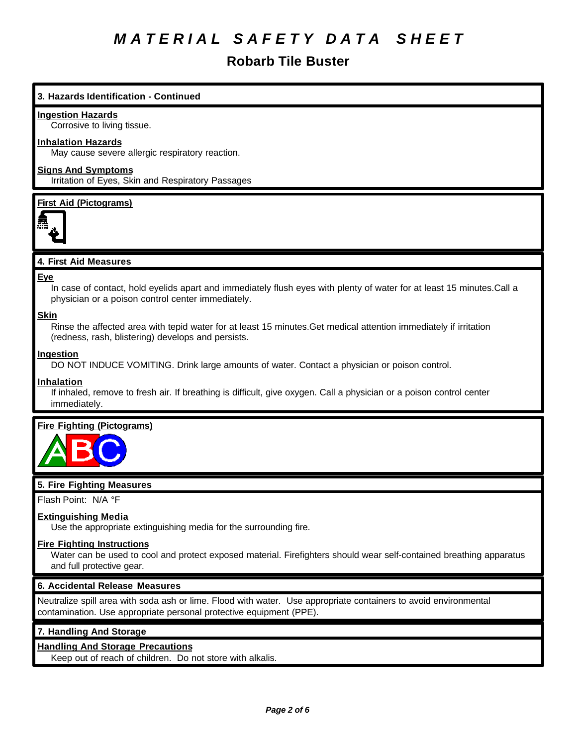# **Robarb Tile Buster**

# **3. Hazards Identification - Continued**

#### **Ingestion Hazards**

Corrosive to living tissue.

### **Inhalation Hazards**

May cause severe allergic respiratory reaction.

# **Signs And Symptoms**

Irritation of Eyes, Skin and Respiratory Passages

### **First Aid (Pictograms)**



## **4. First Aid Measures**

#### **Eye**

In case of contact, hold eyelids apart and immediately flush eyes with plenty of water for at least 15 minutes.Call a physician or a poison control center immediately.

## **Skin**

Rinse the affected area with tepid water for at least 15 minutes.Get medical attention immediately if irritation (redness, rash, blistering) develops and persists.

#### **Ingestion**

DO NOT INDUCE VOMITING. Drink large amounts of water. Contact a physician or poison control.

#### **Inhalation**

If inhaled, remove to fresh air. If breathing is difficult, give oxygen. Call a physician or a poison control center immediately.

## **Fire Fighting (Pictograms)**



## **5. Fire Fighting Measures**

Flash Point: N/A °F

#### **Extinguishing Media**

Use the appropriate extinguishing media for the surrounding fire.

#### **Fire Fighting Instructions**

Water can be used to cool and protect exposed material. Firefighters should wear self-contained breathing apparatus and full protective gear.

#### **6. Accidental Release Measures**

Neutralize spill area with soda ash or lime. Flood with water. Use appropriate containers to avoid environmental contamination. Use appropriate personal protective equipment (PPE).

## **7. Handling And Storage**

## **Handling And Storage Precautions**

Keep out of reach of children. Do not store with alkalis.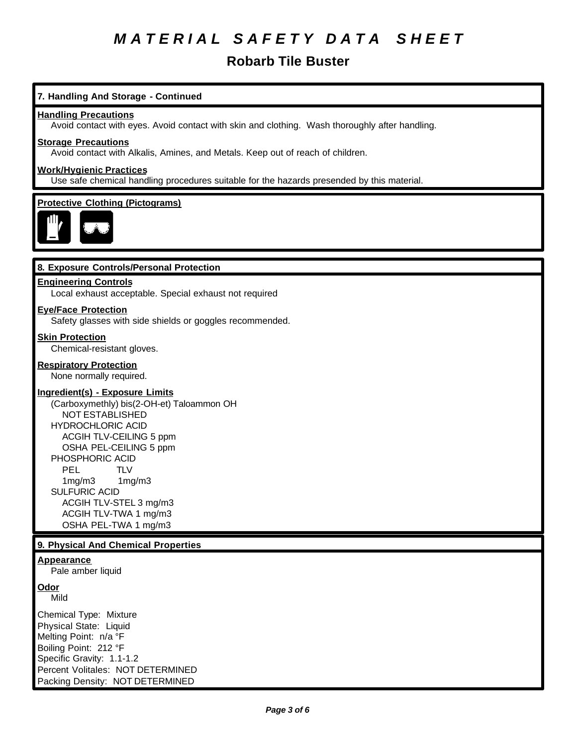# **Robarb Tile Buster**

# **7. Handling And Storage - Continued**

#### **Handling Precautions**

Avoid contact with eyes. Avoid contact with skin and clothing. Wash thoroughly after handling.

## **Storage Precautions**

Avoid contact with Alkalis, Amines, and Metals. Keep out of reach of children.

## **Work/Hygienic Practices**

Use safe chemical handling procedures suitable for the hazards presended by this material.

#### **Protective Clothing (Pictograms)**



#### **8. Exposure Controls/Personal Protection**

## **Engineering Controls**

Local exhaust acceptable. Special exhaust not required

#### **Eye/Face Protection**

Safety glasses with side shields or goggles recommended.

#### **Skin Protection**

Chemical-resistant gloves.

#### **Respiratory Protection**

None normally required.

#### **Ingredient(s) - Exposure Limits**

(Carboxymethly) bis(2-OH-et) Taloammon OH NOT ESTABLISHED HYDROCHLORIC ACID ACGIH TLV-CEILING 5 ppm OSHA PEL-CEILING 5 ppm PHOSPHORIC ACID PEL TLV 1mg/m3 1mg/m3 SULFURIC ACID ACGIH TLV-STEL 3 mg/m3 ACGIH TLV-TWA 1 mg/m3 OSHA PEL-TWA 1 mg/m3

## **9. Physical And Chemical Properties**

# **Appearance**

Pale amber liquid

#### **Odor**

Mild

Chemical Type: Mixture Physical State: Liquid Melting Point: n/a °F Boiling Point: 212 °F Specific Gravity: 1.1-1.2 Percent Volitales: NOT DETERMINED Packing Density: NOT DETERMINED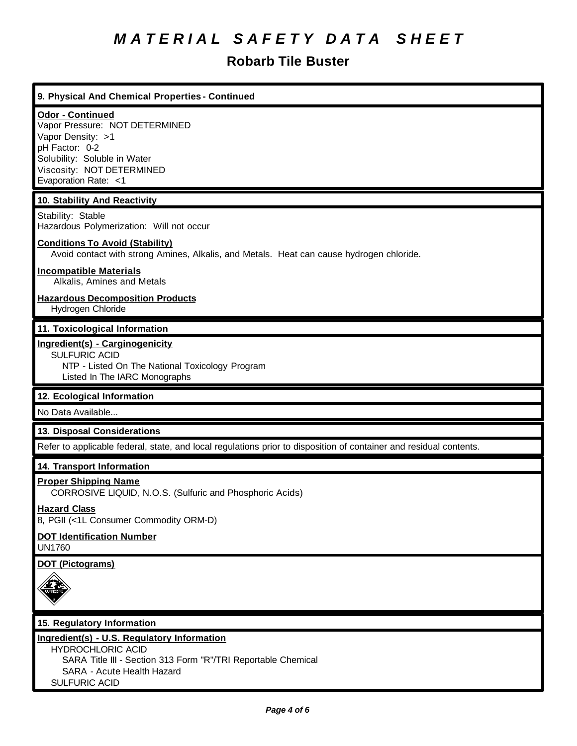# **Robarb Tile Buster**

| 9. Physical And Chemical Properties - Continued                                                                                                                                       |
|---------------------------------------------------------------------------------------------------------------------------------------------------------------------------------------|
| <b>Odor - Continued</b><br>Vapor Pressure: NOT DETERMINED<br>Vapor Density: >1<br>pH Factor: 0-2<br>Solubility: Soluble in Water<br>Viscosity: NOT DETERMINED<br>Evaporation Rate: <1 |
| 10. Stability And Reactivity                                                                                                                                                          |
| Stability: Stable<br>Hazardous Polymerization: Will not occur                                                                                                                         |
| <b>Conditions To Avoid (Stability)</b><br>Avoid contact with strong Amines, Alkalis, and Metals. Heat can cause hydrogen chloride.                                                    |
| <b>Incompatible Materials</b><br>Alkalis, Amines and Metals                                                                                                                           |
| <b>Hazardous Decomposition Products</b><br>Hydrogen Chloride                                                                                                                          |
| 11. Toxicological Information                                                                                                                                                         |
| Ingredient(s) - Carginogenicity<br><b>SULFURIC ACID</b><br>NTP - Listed On The National Toxicology Program<br>Listed In The IARC Monographs                                           |
| 12. Ecological Information                                                                                                                                                            |
| No Data Available                                                                                                                                                                     |
| 13. Disposal Considerations                                                                                                                                                           |
| Refer to applicable federal, state, and local regulations prior to disposition of container and residual contents.                                                                    |
| 14. Transport Information                                                                                                                                                             |
| <b>Proper Shipping Name</b><br>CORROSIVE LIQUID, N.O.S. (Sulfuric and Phosphoric Acids)                                                                                               |
| <b>Hazard Class</b><br>8, PGII (<1L Consumer Commodity ORM-D)                                                                                                                         |
| <b>DOT Identification Number</b><br><b>UN1760</b>                                                                                                                                     |
| <b>DOT (Pictograms)</b>                                                                                                                                                               |
| 15. Regulatory Information                                                                                                                                                            |
| Ingredient(s) - U.S. Regulatory Information<br><b>HYDROCHLORIC ACID</b>                                                                                                               |
| SARA Title III - Section 313 Form "R"/TRI Reportable Chemical                                                                                                                         |

 SARA - Acute Health Hazard SULFURIC ACID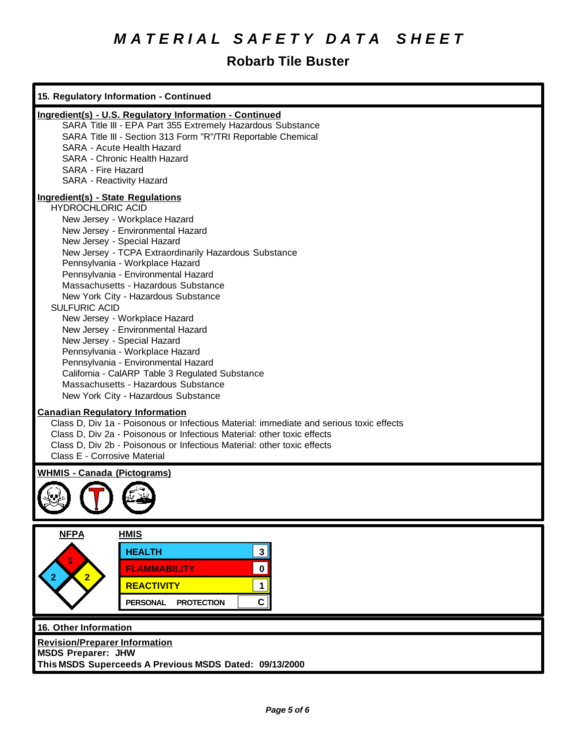# **Robarb Tile Buster**

| 15. Regulatory Information - Continued                                                                                                                                                                                                                                                                                                                                                                                                                                                                                                                                                                                                                                                                                             |  |  |
|------------------------------------------------------------------------------------------------------------------------------------------------------------------------------------------------------------------------------------------------------------------------------------------------------------------------------------------------------------------------------------------------------------------------------------------------------------------------------------------------------------------------------------------------------------------------------------------------------------------------------------------------------------------------------------------------------------------------------------|--|--|
| Ingredient(s) - U.S. Regulatory Information - Continued<br>SARA Title III - EPA Part 355 Extremely Hazardous Substance<br>SARA Title III - Section 313 Form "R"/TRI Reportable Chemical<br>SARA - Acute Health Hazard<br>SARA - Chronic Health Hazard<br>SARA - Fire Hazard<br>SARA - Reactivity Hazard                                                                                                                                                                                                                                                                                                                                                                                                                            |  |  |
| <b>Ingredient(s) - State Regulations</b><br><b>HYDROCHLORIC ACID</b><br>New Jersey - Workplace Hazard<br>New Jersey - Environmental Hazard<br>New Jersey - Special Hazard<br>New Jersey - TCPA Extraordinarily Hazardous Substance<br>Pennsylvania - Workplace Hazard<br>Pennsylvania - Environmental Hazard<br>Massachusetts - Hazardous Substance<br>New York City - Hazardous Substance<br><b>SULFURIC ACID</b><br>New Jersey - Workplace Hazard<br>New Jersey - Environmental Hazard<br>New Jersey - Special Hazard<br>Pennsylvania - Workplace Hazard<br>Pennsylvania - Environmental Hazard<br>California - CalARP Table 3 Regulated Substance<br>Massachusetts - Hazardous Substance<br>New York City - Hazardous Substance |  |  |
| <b>Canadian Regulatory Information</b><br>Class D, Div 1a - Poisonous or Infectious Material: immediate and serious toxic effects<br>Class D, Div 2a - Poisonous or Infectious Material: other toxic effects<br>Class D, Div 2b - Poisonous or Infectious Material: other toxic effects<br>Class E - Corrosive Material                                                                                                                                                                                                                                                                                                                                                                                                            |  |  |
| <b>WHMIS - Canada (Pictograms)</b><br>$\mathbf{U}$                                                                                                                                                                                                                                                                                                                                                                                                                                                                                                                                                                                                                                                                                 |  |  |
| <b>NFPA</b><br><b>HMIS</b><br><b>HEALTH</b><br>3 <br><b>FLAMMABILITY</b><br>$\pmb{0}$<br>2 <sub>2</sub><br><b>REACTIVITY</b><br>1<br>C<br><b>PERSONAL</b><br><b>PROTECTION</b>                                                                                                                                                                                                                                                                                                                                                                                                                                                                                                                                                     |  |  |
| 16. Other Information<br><b>Revision/Preparer Information</b><br><b>MSDS Preparer: JHW</b><br>This MSDS Superceeds A Previous MSDS Dated: 09/13/2000                                                                                                                                                                                                                                                                                                                                                                                                                                                                                                                                                                               |  |  |